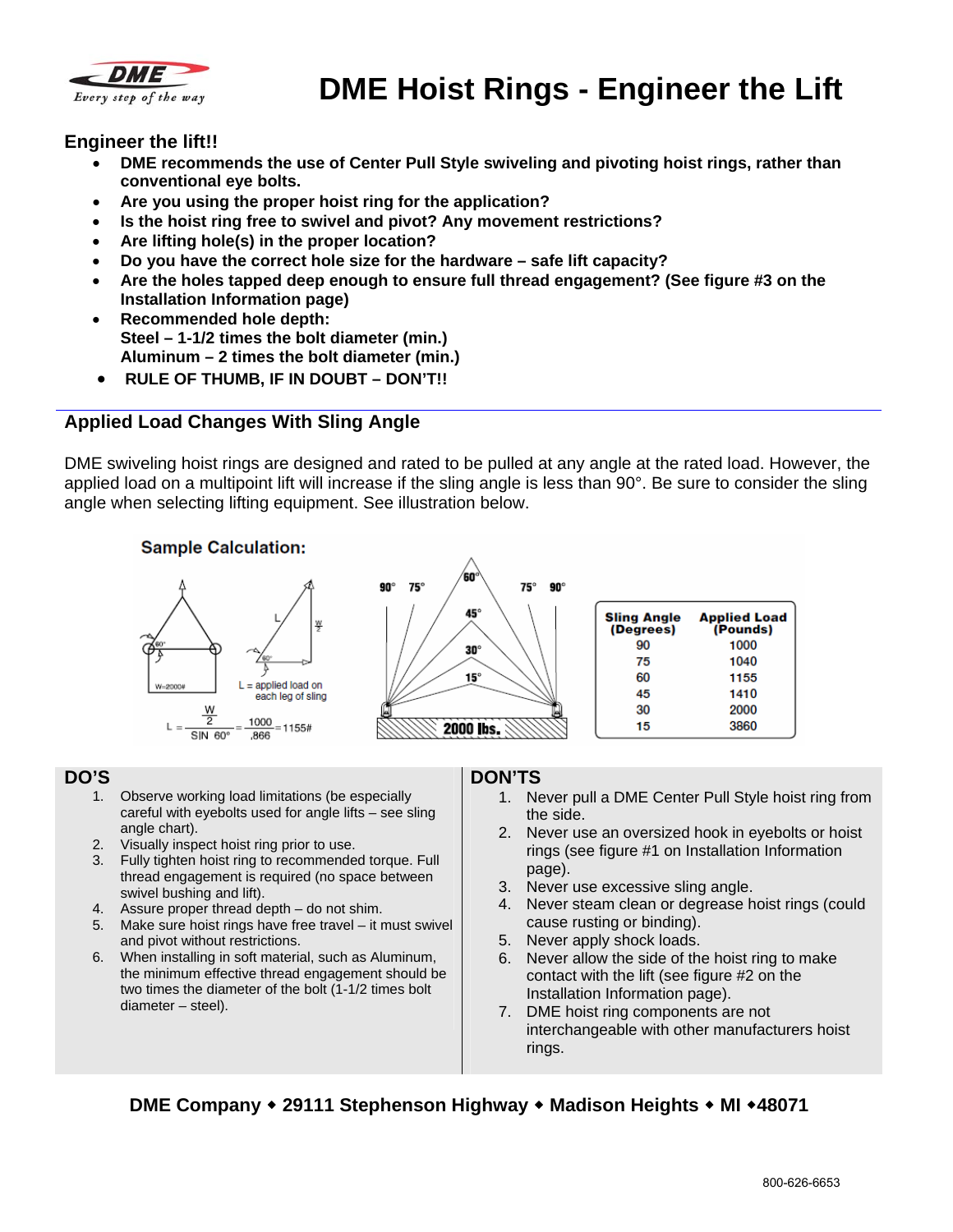

# **DME Hoist Rings - Engineer the Lift**

#### **Engineer the lift!!**

- **DME recommends the use of Center Pull Style swiveling and pivoting hoist rings, rather than conventional eye bolts.**
- **Are you using the proper hoist ring for the application?**
- **Is the hoist ring free to swivel and pivot? Any movement restrictions?**
- **Are lifting hole(s) in the proper location?**
- **Do you have the correct hole size for the hardware safe lift capacity?**
- **Are the holes tapped deep enough to ensure full thread engagement? (See figure #3 on the Installation Information page)**
- **Recommended hole depth: Steel – 1-1/2 times the bolt diameter (min.) Aluminum – 2 times the bolt diameter (min.)**
- **RULE OF THUMB, IF IN DOUBT DON'T!!**

### **Applied Load Changes With Sling Angle**

DME swiveling hoist rings are designed and rated to be pulled at any angle at the rated load. However, the applied load on a multipoint lift will increase if the sling angle is less than 90°. Be sure to consider the sling angle when selecting lifting equipment. See illustration below.



#### **DO'S**

- 1. Observe working load limitations (be especially careful with eyebolts used for angle lifts – see sling angle chart).
- 2. Visually inspect hoist ring prior to use.
- 3. Fully tighten hoist ring to recommended torque. Full thread engagement is required (no space between swivel bushing and lift).
- 4. Assure proper thread depth do not shim.
- 5. Make sure hoist rings have free travel it must swivel and pivot without restrictions.
- 6. When installing in soft material, such as Aluminum, the minimum effective thread engagement should be two times the diameter of the bolt (1-1/2 times bolt diameter – steel).

#### **DON'TS**

- 1. Never pull a DME Center Pull Style hoist ring from the side.
- 2. Never use an oversized hook in eyebolts or hoist rings (see figure #1 on Installation Information page).
- 3. Never use excessive sling angle.
- 4. Never steam clean or degrease hoist rings (could cause rusting or binding).
- 5. Never apply shock loads.
- 6. Never allow the side of the hoist ring to make contact with the lift (see figure #2 on the Installation Information page).
- 7. DME hoist ring components are not interchangeable with other manufacturers hoist rings.

### **DME Company 29111 Stephenson Highway Madison Heights MI 48071**